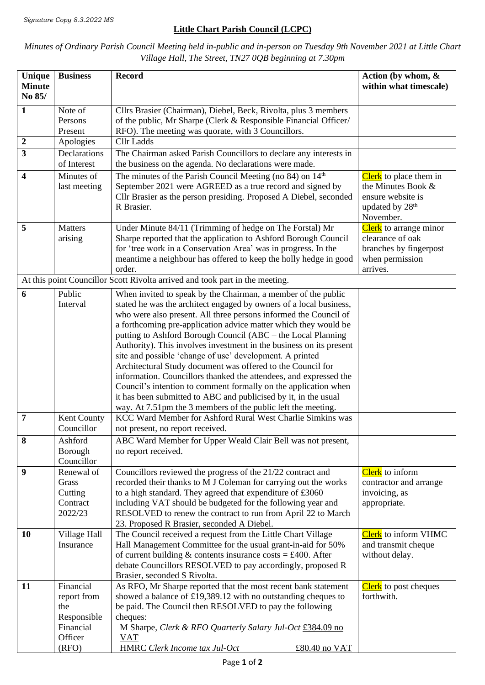## **Little Chart Parish Council (LCPC)**

## *Minutes of Ordinary Parish Council Meeting held in-public and in-person on Tuesday 9th November 2021 at Little Chart Village Hall, The Street, TN27 0QB beginning at 7.30pm*

| Unique                  | <b>Business</b>            | <b>Record</b>                                                                                                                      | Action (by whom, $\&$                        |
|-------------------------|----------------------------|------------------------------------------------------------------------------------------------------------------------------------|----------------------------------------------|
| <b>Minute</b><br>No 85/ |                            |                                                                                                                                    | within what timescale)                       |
| $\mathbf{1}$            | Note of                    | Cllrs Brasier (Chairman), Diebel, Beck, Rivolta, plus 3 members                                                                    |                                              |
|                         | Persons                    | of the public, Mr Sharpe (Clerk & Responsible Financial Officer/                                                                   |                                              |
|                         | Present                    | RFO). The meeting was quorate, with 3 Councillors.                                                                                 |                                              |
| $\boldsymbol{2}$        | Apologies                  | <b>Cllr</b> Ladds                                                                                                                  |                                              |
| 3                       | Declarations               | The Chairman asked Parish Councillors to declare any interests in                                                                  |                                              |
|                         | of Interest                | the business on the agenda. No declarations were made.                                                                             |                                              |
| 4                       | Minutes of<br>last meeting | The minutes of the Parish Council Meeting (no 84) on 14 <sup>th</sup><br>September 2021 were AGREED as a true record and signed by | Clerk to place them in<br>the Minutes Book & |
|                         |                            | Cllr Brasier as the person presiding. Proposed A Diebel, seconded                                                                  | ensure website is                            |
|                         |                            | R Brasier.                                                                                                                         | updated by 28 <sup>th</sup>                  |
|                         |                            |                                                                                                                                    | November.                                    |
| 5                       | Matters                    | Under Minute 84/11 (Trimming of hedge on The Forstal) Mr                                                                           | <b>Clerk</b> to arrange minor                |
|                         | arising                    | Sharpe reported that the application to Ashford Borough Council                                                                    | clearance of oak                             |
|                         |                            | for 'tree work in a Conservation Area' was in progress. In the                                                                     | branches by fingerpost                       |
|                         |                            | meantime a neighbour has offered to keep the holly hedge in good<br>order.                                                         | when permission<br>arrives.                  |
|                         |                            | At this point Councillor Scott Rivolta arrived and took part in the meeting.                                                       |                                              |
| 6                       | Public                     | When invited to speak by the Chairman, a member of the public                                                                      |                                              |
|                         | Interval                   | stated he was the architect engaged by owners of a local business,                                                                 |                                              |
|                         |                            | who were also present. All three persons informed the Council of                                                                   |                                              |
|                         |                            | a forthcoming pre-application advice matter which they would be                                                                    |                                              |
|                         |                            | putting to Ashford Borough Council (ABC – the Local Planning                                                                       |                                              |
|                         |                            | Authority). This involves investment in the business on its present                                                                |                                              |
|                         |                            | site and possible 'change of use' development. A printed<br>Architectural Study document was offered to the Council for            |                                              |
|                         |                            | information. Councillors thanked the attendees, and expressed the                                                                  |                                              |
|                         |                            | Council's intention to comment formally on the application when                                                                    |                                              |
|                         |                            | it has been submitted to ABC and publicised by it, in the usual                                                                    |                                              |
|                         |                            | way. At 7.51pm the 3 members of the public left the meeting.                                                                       |                                              |
| $\overline{7}$          | Kent County                | KCC Ward Member for Ashford Rural West Charlie Simkins was                                                                         |                                              |
|                         | Councillor                 | not present, no report received.                                                                                                   |                                              |
| 8                       | Ashford                    | ABC Ward Member for Upper Weald Clair Bell was not present,                                                                        |                                              |
|                         | Borough<br>Councillor      | no report received.                                                                                                                |                                              |
| $\boldsymbol{9}$        | Renewal of                 | Councillors reviewed the progress of the 21/22 contract and                                                                        | Clerk to inform                              |
|                         | Grass                      | recorded their thanks to M J Coleman for carrying out the works                                                                    | contractor and arrange                       |
|                         | Cutting                    | to a high standard. They agreed that expenditure of £3060                                                                          | invoicing, as                                |
|                         | Contract                   | including VAT should be budgeted for the following year and                                                                        | appropriate.                                 |
|                         | 2022/23                    | RESOLVED to renew the contract to run from April 22 to March                                                                       |                                              |
| 10                      | Village Hall               | 23. Proposed R Brasier, seconded A Diebel.<br>The Council received a request from the Little Chart Village                         | Clerk to inform VHMC                         |
|                         | Insurance                  | Hall Management Committee for the usual grant-in-aid for 50%                                                                       | and transmit cheque                          |
|                         |                            | of current building $\&$ contents insurance costs = £400. After                                                                    | without delay.                               |
|                         |                            | debate Councillors RESOLVED to pay accordingly, proposed R                                                                         |                                              |
|                         |                            | Brasier, seconded S Rivolta.                                                                                                       |                                              |
| 11                      | Financial                  | As RFO, Mr Sharpe reported that the most recent bank statement                                                                     | <b>Clerk</b> to post cheques                 |
|                         | report from<br>the         | showed a balance of £19,389.12 with no outstanding cheques to                                                                      | forthwith.                                   |
|                         | Responsible                | be paid. The Council then RESOLVED to pay the following<br>cheques:                                                                |                                              |
|                         | Financial                  | M Sharpe, Clerk & RFO Quarterly Salary Jul-Oct £384.09 no                                                                          |                                              |
|                         | Officer                    | <b>VAT</b>                                                                                                                         |                                              |
|                         | (RFO)                      | HMRC Clerk Income tax Jul-Oct<br>£80.40 no VAT                                                                                     |                                              |